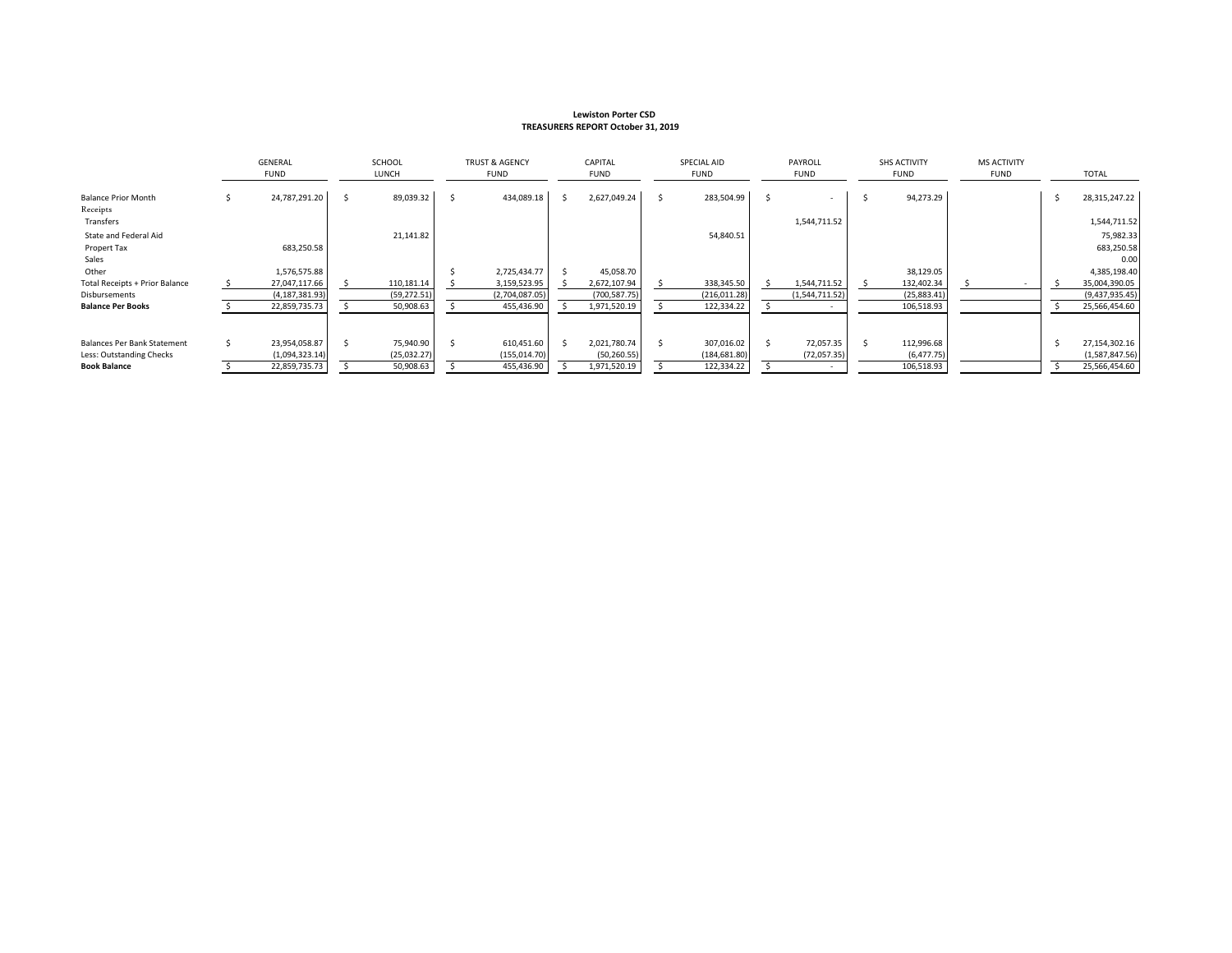#### **Lewiston Porter CSD TREASURERS REPORT October 31, 2019**

|                                       |    | GENERAL<br>FUND  |  | SCHOOL<br>LUNCH |    | <b>TRUST &amp; AGENCY</b><br><b>FUND</b> |  | CAPITAL<br><b>FUND</b> |  | SPECIAL AID<br>FUND |  | PAYROLL<br><b>FUND</b> |  | <b>SHS ACTIVITY</b><br><b>FUND</b> | <b>MS ACTIVITY</b><br><b>FUND</b> | <b>TOTAL</b>   |
|---------------------------------------|----|------------------|--|-----------------|----|------------------------------------------|--|------------------------|--|---------------------|--|------------------------|--|------------------------------------|-----------------------------------|----------------|
| <b>Balance Prior Month</b>            |    | 24,787,291.20    |  | 89,039.32       | Ŝ. | 434,089.18                               |  | 2,627,049.24           |  | 283,504.99          |  |                        |  | 94,273.29                          |                                   | 28,315,247.22  |
| Receipts<br>Transfers                 |    |                  |  |                 |    |                                          |  |                        |  |                     |  | 1,544,711.52           |  |                                    |                                   | 1,544,711.52   |
| State and Federal Aid                 |    |                  |  | 21,141.82       |    |                                          |  |                        |  | 54,840.51           |  |                        |  |                                    |                                   | 75,982.33      |
| Propert Tax                           |    | 683,250.58       |  |                 |    |                                          |  |                        |  |                     |  |                        |  |                                    |                                   | 683,250.58     |
| Sales                                 |    |                  |  |                 |    |                                          |  |                        |  |                     |  |                        |  |                                    |                                   | 0.00           |
| Other                                 |    | 1,576,575.88     |  |                 |    | 2,725,434.77                             |  | 45,058.70              |  |                     |  |                        |  | 38,129.05                          |                                   | 4,385,198.40   |
| <b>Total Receipts + Prior Balance</b> |    | 27,047,117.66    |  | 110,181.14      |    | 3,159,523.95                             |  | 2,672,107.94           |  | 338,345.50          |  | 1,544,711.52           |  | 132,402.34                         |                                   | 35,004,390.05  |
| Disbursements                         |    | (4, 187, 381.93) |  | (59, 272.51)    |    | (2,704,087.05)                           |  | (700, 587.75)          |  | (216, 011.28)       |  | (1,544,711.52)         |  | (25,883.41)                        |                                   | (9,437,935.45) |
| <b>Balance Per Books</b>              |    | 22,859,735.73    |  | 50,908.63       |    | 455,436.90                               |  | 1,971,520.19           |  | 122,334.22          |  |                        |  | 106,518.93                         |                                   | 25,566,454.60  |
|                                       |    |                  |  |                 |    |                                          |  |                        |  |                     |  |                        |  |                                    |                                   |                |
| Balances Per Bank Statement           | Ś. | 23,954,058.87    |  | 75,940.90       |    | 610,451.60                               |  | 2,021,780.74           |  | 307,016.02          |  | 72,057.35              |  | 112,996.68                         |                                   | 27,154,302.16  |
| Less: Outstanding Checks              |    | (1,094,323.14)   |  | (25,032.27)     |    | (155, 014.70)                            |  | (50, 260.55)           |  | (184, 681.80)       |  | (72,057.35)            |  | (6, 477.75)                        |                                   | (1,587,847.56) |
| <b>Book Balance</b>                   |    | 22,859,735.73    |  | 50,908.63       |    | 455,436.90                               |  | 1,971,520.19           |  | 122,334.22          |  |                        |  | 106,518.93                         |                                   | 25,566,454.60  |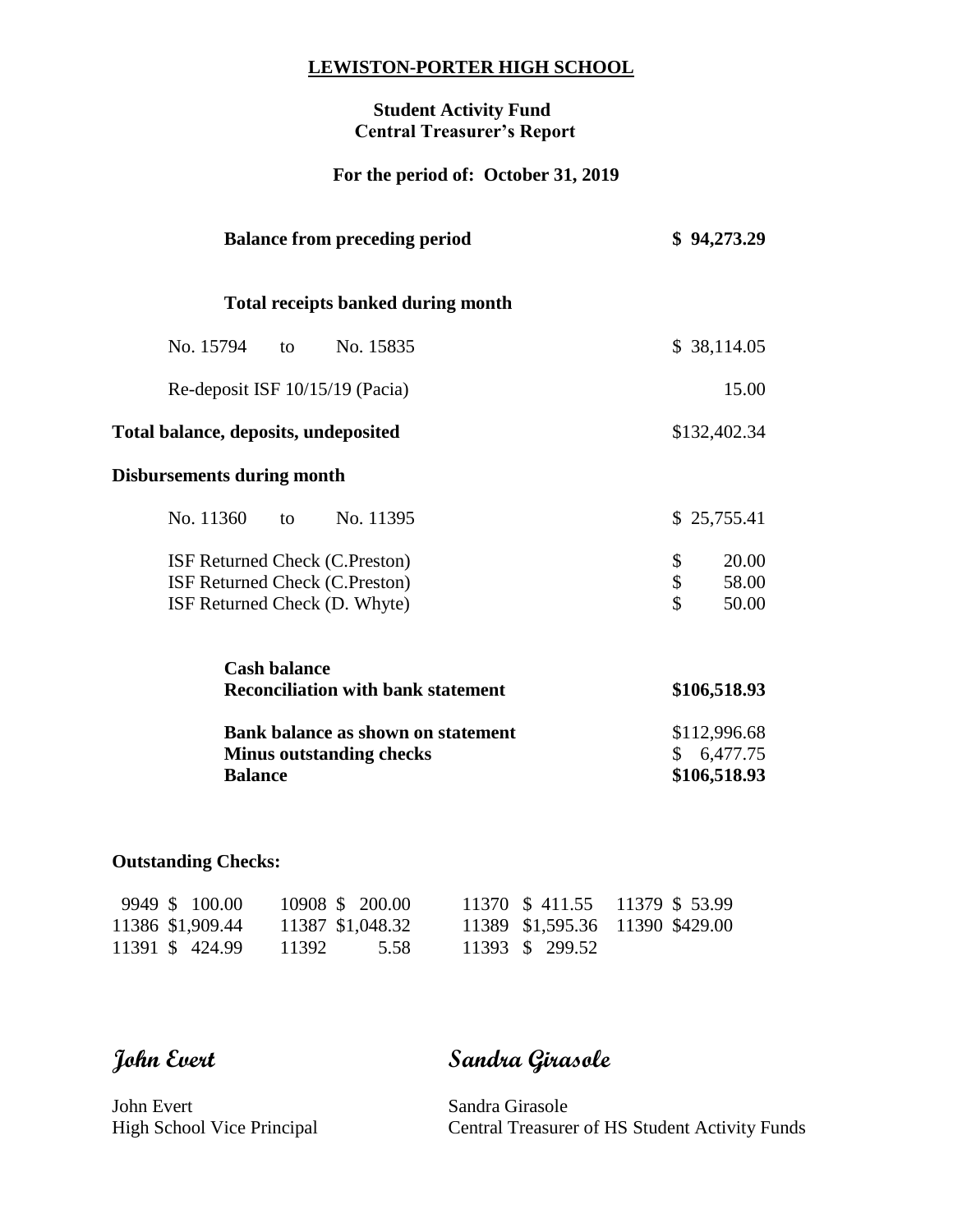### **LEWISTON-PORTER HIGH SCHOOL**

## **Student Activity Fund Central Treasurer's Report**

# **For the period of: October 31, 2019**

| <b>Balance from preceding period</b>                                                              | \$94,273.29                                      |
|---------------------------------------------------------------------------------------------------|--------------------------------------------------|
| <b>Total receipts banked during month</b>                                                         |                                                  |
| No. 15794<br>No. 15835<br>to                                                                      | \$38,114.05                                      |
| Re-deposit ISF 10/15/19 (Pacia)                                                                   | 15.00                                            |
| Total balance, deposits, undeposited                                                              | \$132,402.34                                     |
| <b>Disbursements during month</b>                                                                 |                                                  |
| No. 11360<br>No. 11395<br>to                                                                      | \$25,755.41                                      |
| ISF Returned Check (C.Preston)<br>ISF Returned Check (C.Preston)<br>ISF Returned Check (D. Whyte) | \$<br>20.00<br>\$<br>58.00<br>$\hat{S}$<br>50.00 |
| <b>Cash balance</b><br><b>Reconciliation with bank statement</b>                                  | \$106,518.93                                     |
| <b>Bank balance as shown on statement</b><br><b>Minus outstanding checks</b><br><b>Balance</b>    | \$112,996.68<br>\$6,477.75<br>\$106,518.93       |

# **Outstanding Checks:**

| 9949 \$ 100.00   | 10908 \$ 200.00  | 11370 \$411.55 11379 \$53.99    |  |
|------------------|------------------|---------------------------------|--|
| 11386 \$1,909.44 | 11387 \$1,048.32 | 11389 \$1,595.36 11390 \$429.00 |  |
| 11391 \$424.99   | - 11392<br>5.58  | 11393 \$ 299.52                 |  |

**John Evert Sandra Girasole**

John Evert Sandra Girasole

High School Vice Principal Central Treasurer of HS Student Activity Funds